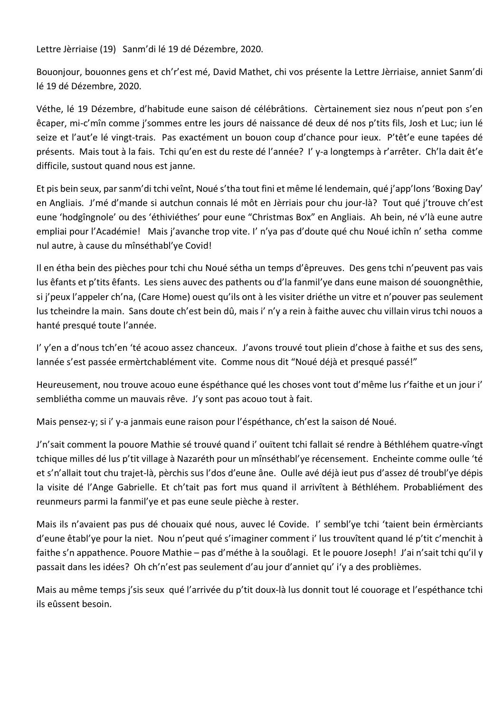Lettre Jèrriaise (19) Sanm'di lé 19 dé Dézembre, 2020.

Bouonjour, bouonnes gens et ch'r'est mé, David Mathet, chi vos présente la Lettre Jèrriaise, anniet Sanm'di lé 19 dé Dézembre, 2020.

Véthe, lé 19 Dézembre, d'habitude eune saison dé célébrâtions. Cèrtainement siez nous n'peut pon s'en êcaper, mi-c'mîn comme j'sommes entre les jours dé naissance dé deux dé nos p'tits fils, Josh et Luc; iun lé seize et l'aut'e lé vingt-trais. Pas exactément un bouon coup d'chance pour ieux. P'têt'e eune tapées dé présents. Mais tout à la fais. Tchi qu'en est du reste dé l'année? I' y-a longtemps à r'arrêter. Ch'la dait êt'e difficile, sustout quand nous est janne.

Et pis bein seux, par sanm'di tchi veînt, Noué s'tha tout fini et même lé lendemain, qué j'app'lons'Boxing Day' en Angliais. J'mé d'mande si autchun connais lé môt en Jèrriais pour chu jour-là? Tout qué j'trouve ch'est eune 'hodgîngnole' ou des 'éthiviéthes' pour eune "Christmas Box" en Angliais. Ah bein, né v'là eune autre empliai pour l'Académie! Mais j'avanche trop vite. I' n'ya pas d'doute qué chu Noué ichîn n' setha comme nul autre, à cause du mînséthabl'ye Covid!

Il en étha bein des pièches pour tchi chu Noué sétha un temps d'êpreuves. Des gens tchi n'peuvent pas vais lus êfants et p'tits êfants. Les siens auvec des pathents ou d'la fanmil'ye dans eune maison dé souongnêthie, si j'peux l'appeler ch'na, (Care Home) ouest qu'ils ont à les visiter driéthe un vitre et n'pouver pas seulement lus tcheindre la main. Sans doute ch'est bein dû, mais i' n'y a rein à faithe auvec chu villain virus tchi nouos a hanté presqué toute l'année.

I' y'en a d'nous tch'en 'té acouo assez chanceux. J'avons trouvé tout pliein d'chose à faithe et sus des sens, lannée s'est passée ermèrtchablément vite. Comme nous dit "Noué déjà et presqué passé!"

Heureusement, nou trouve acouo eune éspéthance qué les choses vont tout d'même lus r'faithe et un jour i' sembliétha comme un mauvais rêve. J'y sont pas acouo tout à fait.

Mais pensez-y; si i' y-a janmais eune raison pour l'éspéthance, ch'est la saison dé Noué.

J'n'sait comment la pouore Mathie sé trouvé quand i' ouïtent tchi fallait sé rendre à Béthléhem quatre-vîngt tchique milles dé lus p'tit village à Nazaréth pour un mînséthabl'ye récensement. Encheinte comme oulle 'té et s'n'allait tout chu trajet-là, pèrchis sus l'dos d'eune âne. Oulle avé déjà ieut pus d'assez dé troubl'ye dépis la visite dé l'Ange Gabrielle. Et ch'tait pas fort mus quand il arrivîtent à Béthléhem. Probabliément des reunmeurs parmi la fanmil'ye et pas eune seule pièche à rester.

Mais ils n'avaient pas pus dé chouaix qué nous, auvec lé Covide. I' sembl'ye tchi 'taient bein érmèrciants d'eune êtabl'ye pour la niet. Nou n'peut qué s'imaginer comment i' lus trouvîtent quand lé p'tit c'menchit à faithe s'n appathence. Pouore Mathie – pas d'méthe à la souôlagi. Et le pouore Joseph! J'ai n'sait tchi qu'il y passait dans les idées? Oh ch'n'est pas seulement d'au jour d'anniet qu' i'y a des problièmes.

Mais au même temps j'sis seux qué l'arrivée du p'tit doux-là lus donnit tout lé couorage et l'espéthance tchi ils eûssent besoin.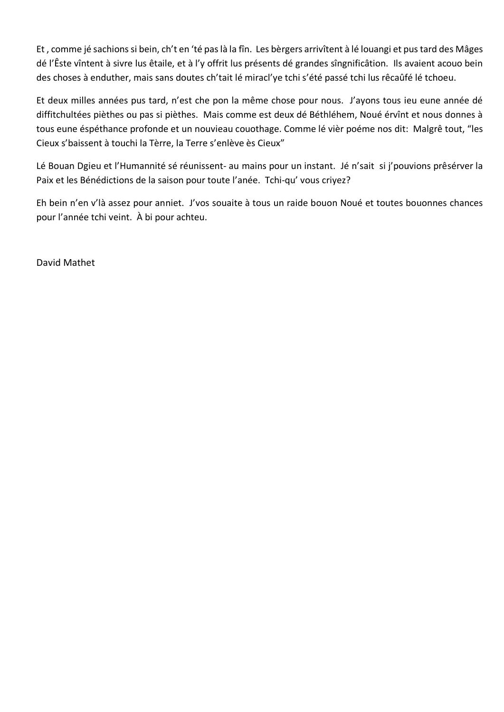Et , comme jé sachions si bein, ch't en 'té pas là la fîn. Les bèrgers arrivîtent à lé louangi et pus tard des Mâges dé l'Êste vîntent à sivre lus êtaile, et à l'y offrit lus présents dé grandes sîngnificâtion. Ils avaient acouo bein des choses à enduther, mais sans doutes ch'tait lé miracl'ye tchi s'été passé tchi lus rêcaûfé lé tchoeu.

Et deux milles années pus tard, n'est che pon la même chose pour nous. J'ayons tous ieu eune année dé diffitchultées pièthes ou pas si pièthes. Mais comme est deux dé Béthléhem, Noué érvînt et nous donnes à tous eune éspéthance profonde et un nouvieau couothage. Comme lé vièr poéme nos dit: Malgrê tout, "les Cieux s'baissent à touchi la Tèrre, la Terre s'enlève ès Cieux"

Lé Bouan Dgieu et l'Humannité sé réunissent- au mains pour un instant. Jé n'sait si j'pouvions prêsérver la Paix et les Bénédictions de la saison pour toute l'anée. Tchi-qu' vous criyez?

Eh bein n'en v'là assez pour anniet. J'vos souaite à tous un raide bouon Noué et toutes bouonnes chances pour l'année tchi veint. À bi pour achteu.

David Mathet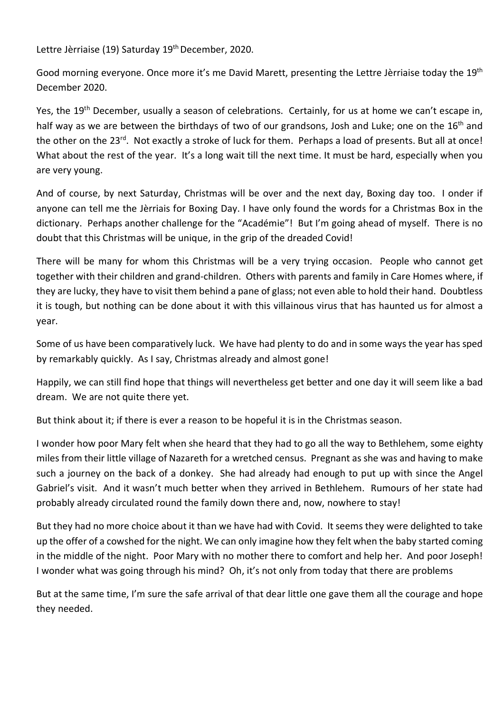Lettre Jèrriaise (19) Saturday 19<sup>th</sup> December, 2020.

Good morning everyone. Once more it's me David Marett, presenting the Lettre Jèrriaise today the 19<sup>th</sup> December 2020.

Yes, the 19<sup>th</sup> December, usually a season of celebrations. Certainly, for us at home we can't escape in, half way as we are between the birthdays of two of our grandsons, Josh and Luke; one on the 16<sup>th</sup> and the other on the 23<sup>rd</sup>. Not exactly a stroke of luck for them. Perhaps a load of presents. But all at once! What about the rest of the year. It's a long wait till the next time. It must be hard, especially when you are very young.

And of course, by next Saturday, Christmas will be over and the next day, Boxing day too. I onder if anyone can tell me the Jèrriais for Boxing Day. I have only found the words for a Christmas Box in the dictionary. Perhaps another challenge for the "Académie"! But I'm going ahead of myself. There is no doubt that this Christmas will be unique, in the grip of the dreaded Covid!

There will be many for whom this Christmas will be a very trying occasion. People who cannot get together with their children and grand-children. Others with parents and family in Care Homes where, if they are lucky, they have to visit them behind a pane of glass; not even able to hold their hand. Doubtless it is tough, but nothing can be done about it with this villainous virus that has haunted us for almost a year.

Some of us have been comparatively luck. We have had plenty to do and in some ways the year has sped by remarkably quickly. As I say, Christmas already and almost gone!

Happily, we can still find hope that things will nevertheless get better and one day it will seem like a bad dream. We are not quite there yet.

But think about it; if there is ever a reason to be hopeful it is in the Christmas season.

I wonder how poor Mary felt when she heard that they had to go all the way to Bethlehem, some eighty miles from their little village of Nazareth for a wretched census. Pregnant as she was and having to make such a journey on the back of a donkey. She had already had enough to put up with since the Angel Gabriel's visit. And it wasn't much better when they arrived in Bethlehem. Rumours of her state had probably already circulated round the family down there and, now, nowhere to stay!

But they had no more choice about it than we have had with Covid. It seems they were delighted to take up the offer of a cowshed for the night. We can only imagine how they felt when the baby started coming in the middle of the night. Poor Mary with no mother there to comfort and help her. And poor Joseph! I wonder what was going through his mind? Oh, it's not only from today that there are problems

But at the same time, I'm sure the safe arrival of that dear little one gave them all the courage and hope they needed.